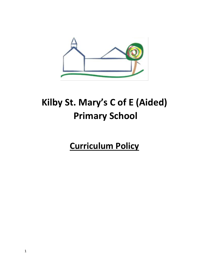

# **Kilby St. Mary's C of E (Aided) Primary School**

**Curriculum Policy**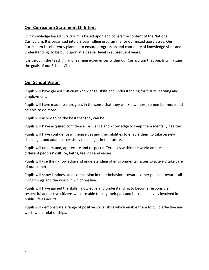# **Our Curriculum Statement Of Intent**

Our knowledge based curriculum is based upon and covers the content of the National Curriculum. It is organised into a 2 year rolling programme for our mixed age classes. Our Curriculum is coherently planned to ensure progression and continuity of knowledge skills and understanding, to be built upon at a deeper level in subsequent years.

It is through the teaching and learning experiences within our Curriculum that pupils will attain the goals of our School Vision.

# **Our School Vision**

Pupils will have gained sufficient knowledge, skills and understanding for future learning and employment.

Pupils will have made real progress in the sense that they will know more, remember more and be able to do more.

Pupils will aspire to be the best that they can be.

Pupils will have acquired confidence, resilience and knowledge to keep them mentally healthy.

Pupils will have confidence in themselves and their abilities to enable them to take on new challenges and adapt successfully to changes in the future.

Pupils will understand, appreciate and respect differences within the world and respect different peoples' culture, faiths, feelings and values.

Pupils will use their knowledge and understanding of environmental issues to actively take care of our planet.

Pupils will show kindness and compassion in their behaviour towards other people, towards all living things and the world in which we live.

Pupils will have gained the skills, knowledge and understanding to become responsible, respectful and active citizens who are able to play their part and become actively involved in public life as adults.

Pupils will demonstrate a range of positive social skills which enable them to build effective and worthwhile relationships.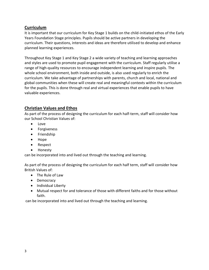### **Curriculum**

It is important that our curriculum for Key Stage 1 builds on the child-initiated ethos of the Early Years Foundation Stage principles. Pupils should be active partners in developing the curriculum. Their questions, interests and ideas are therefore utilised to develop and enhance planned learning experiences.

Throughout Key Stage 1 and Key Stage 2 a wide variety of teaching and learning approaches and styles are used to promote pupil engagement with the curriculum. Staff regularly utilise a range of high-quality resources to encourage independent learning and inspire pupils. The whole school environment, both inside and outside, is also used regularly to enrich the curriculum. We take advantage of partnerships with parents, church and local, national and global communities when these will create real and meaningful contexts within the curriculum for the pupils. This is done through real and virtual experiences that enable pupils to have valuable experiences.

# **Christian Values and Ethos**

As part of the process of designing the curriculum for each half-term, staff will consider how our School Christian Values of:

- Love
- **•** Forgiveness
- Friendship
- Hope
- Respect
- Honesty

can be incorporated into and lived out through the teaching and learning.

As part of the process of designing the curriculum for each half term, staff will consider how British Values of:

- The Rule of Law
- Democracy
- Individual Liberty
- Mutual respect for and tolerance of those with different faiths and for those without faith.

can be incorporated into and lived out through the teaching and learning.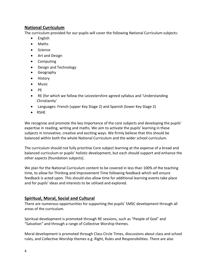# **National Curriculum**

The curriculum provided for our pupils will cover the following National Curriculum subjects:

- English
- Maths
- Science
- Art and Design
- Computing
- Design and Technology
- Geography
- History
- Music
- $\bullet$  PE
- RE (for which we follow the Leicestershire agreed syllabus and 'Understanding Christianity'
- Languages: French (upper Key Stage 2) and Spanish (lower Key Stage 2)
- RSHE

We recognise and promote the key importance of the core subjects and developing the pupils' expertise in reading, writing and maths. We aim to activate the pupils' learning in these subjects in innovative, creative and exciting ways. We firmly believe that this should be balanced within both the whole National Curriculum and the wider school curriculum.

The curriculum should not fully prioritise Core subject learning at the expense of a broad and balanced curriculum or pupils' holistic development, but each should support and enhance the other aspects (foundation subjects).

We plan for the National Curriculum content to be covered in less than 100% of the teaching time, to allow for Thinking and Improvement Time following feedback which will ensure feedback is acted upon. This should also allow time for additional learning events take place and for pupils' ideas and interests to be utilised and explored.

# **Spiritual, Moral, Social and Cultural**

There are numerous opportunities for supporting the pupils' SMSC development through all areas of the curriculum.

Spiritual development is promoted through RE sessions, such as "People of God" and "Salvation" and through a range of Collective Worship themes.

Moral development is promoted through Class Circle Times, discussions about class and school rules, and Collective Worship themes e.g. Right, Rules and Responsibilities. There are also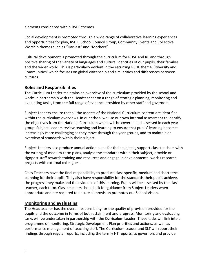elements considered within RSHE themes.

Social development is promoted through a wide range of collaborative learning experiences and opportunities for play, RSHE, School Council Group, Community Events and Collective Worship themes such as "Harvest" and "Mothers".

Cultural development is promoted through the curriculum for RHSE and RE and through positive sharing of the variety of languages and cultural identities of our pupils, their families and the wider world. This is particularly evident in the recurring RSHE theme, 'Diversity and Communities' which focuses on global citizenship and similarities and differences between cultures.

#### **Roles and Responsibilities**

The Curriculum Leader maintains an overview of the curriculum provided by the school and works in partnership with the Headteacher on a range of strategic planning, monitoring and evaluating tasks, from the full range of evidence provided by other staff and governors.

Subject Leaders ensure that all the aspects of the National Curriculum content are identified within the curriculum overviews. In our school we use our own internal assessment to identify the objectives from the National Curriculum which will be covered and assessed in each year group. Subject Leaders review teaching and learning to ensure that pupils' learning becomes increasingly more challenging as they move through the year groups, and to maintain an overview of standards within their subject.

Subject Leaders also produce annual action plans for their subjects, support class teachers with the writing of medium-term plans, analyse the standards within their subject, provide or signpost staff towards training and resources and engage in developmental work / research projects with external colleagues.

Class Teachers have the final responsibility to produce class specific, medium and short term planning for their pupils. They also have responsibility for the standards their pupils achieve, the progress they make and the evidence of this learning. Pupils will be assessed by the class teacher, each term. Class teachers should ask for guidance from Subject Leaders when appropriate and are required to ensure all provision promotes our School Vision.

#### **Monitoring and evaluating**

The Headteacher has the overall responsibility for the quality of provision provided for the pupils and the outcome in terms of both attainment and progress. Monitoring and evaluating tasks will be undertaken in partnership with the Curriculum Leader. These tasks will link into a programme of monitoring, Strategic Development Plan priorities and actions, as well as performance management of teaching staff. The Curriculum Leader and SLT will report their findings through regular reports, including the termly HT reports, to governors and provide